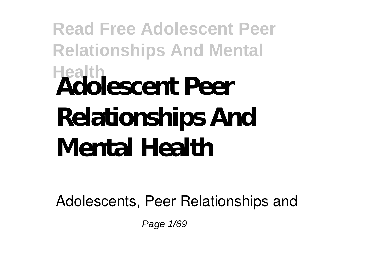# **Read Free Adolescent Peer Relationships And Mental Health Adolescent Peer Relationships And Mental Health**

Adolescents, Peer Relationships and

Page 1/69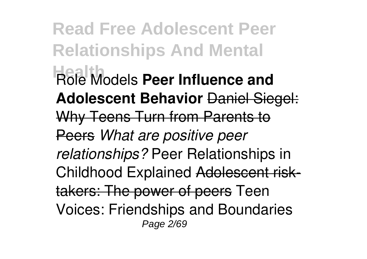**Read Free Adolescent Peer Relationships And Mental H**ade<sup>l</sup> Models **Peer Influence and Adolescent Behavior** Daniel Siegel: Why Teens Turn from Parents to Peers *What are positive peer relationships?* Peer Relationships in Childhood Explained Adolescent risktakers: The power of peers Teen Voices: Friendships and Boundaries Page 2/69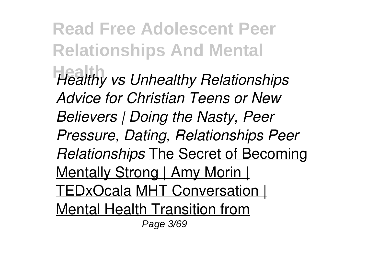**Read Free Adolescent Peer Relationships And Mental Healthy vs Unhealthy Relationships** *Advice for Christian Teens or New Believers | Doing the Nasty, Peer Pressure, Dating, Relationships Peer Relationships* The Secret of Becoming Mentally Strong | Amy Morin | TEDxOcala MHT Conversation | Mental Health Transition from Page 3/69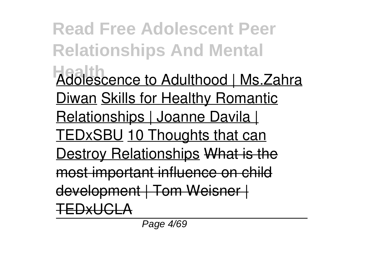**Read Free Adolescent Peer Relationships And Mental Health** Adolescence to Adulthood | Ms.Zahra Diwan Skills for Healthy Romantic Relationships | Joanne Davila | TEDxSBU 10 Thoughts that can Destroy Relationships What is the most important influence on child development | Tom Weisner | TEDYLICLARI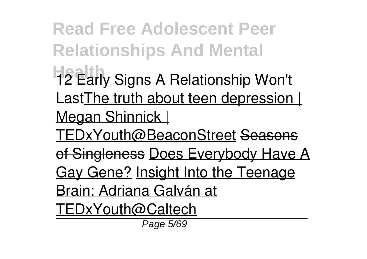**Read Free Adolescent Peer Relationships And Mental**

- **H2 Early Signs A Relationship Won't** Last The truth about teen depression | Megan Shinnick |
- TEDxYouth@BeaconStreet Seasons
- of Singleness Does Everybody Have A Gay Gene? Insight Into the Teenage

Brain: Adriana Galván at

TEDxYouth@Caltech

Page 5/69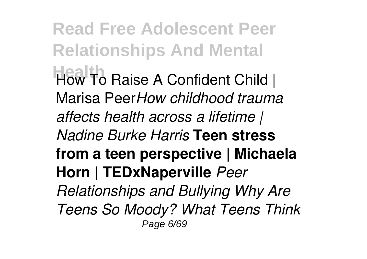**Read Free Adolescent Peer Relationships And Mental** How To Raise A Confident Child | Marisa Peer*How childhood trauma affects health across a lifetime | Nadine Burke Harris* **Teen stress from a teen perspective | Michaela Horn | TEDxNaperville** *Peer Relationships and Bullying Why Are Teens So Moody? What Teens Think* Page 6/69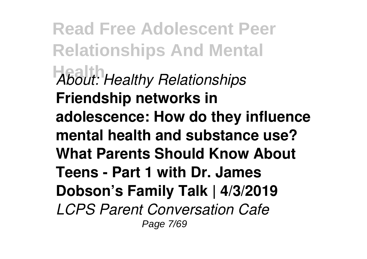**Read Free Adolescent Peer Relationships And Mental Health** *About: Healthy Relationships* **Friendship networks in adolescence: How do they influence mental health and substance use? What Parents Should Know About Teens - Part 1 with Dr. James Dobson's Family Talk | 4/3/2019** *LCPS Parent Conversation Cafe* Page 7/69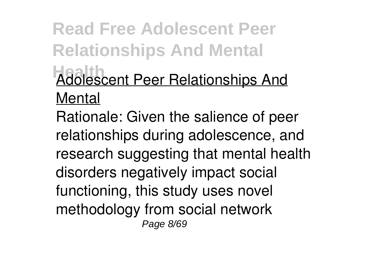# **Read Free Adolescent Peer Relationships And Mental Adolescent Peer Relationships And** Mental

Rationale: Given the salience of peer relationships during adolescence, and research suggesting that mental health disorders negatively impact social functioning, this study uses novel methodology from social network Page 8/69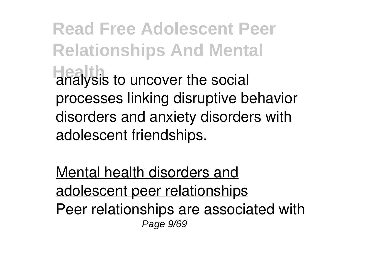**Read Free Adolescent Peer Relationships And Mental Health** analysis to uncover the social processes linking disruptive behavior disorders and anxiety disorders with adolescent friendships.

Mental health disorders and adolescent peer relationships Peer relationships are associated with Page 9/69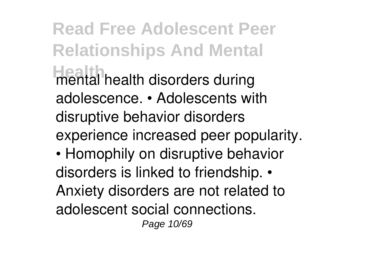**Read Free Adolescent Peer Relationships And Mental Health** health disorders during adolescence. • Adolescents with disruptive behavior disorders experience increased peer popularity. • Homophily on disruptive behavior

disorders is linked to friendship. • Anxiety disorders are not related to adolescent social connections. Page 10/69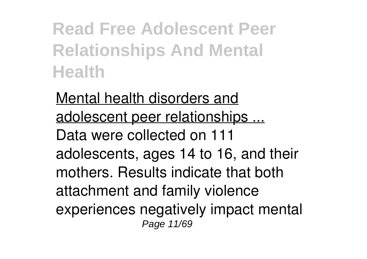**Read Free Adolescent Peer Relationships And Mental Health**

Mental health disorders and adolescent peer relationships ... Data were collected on 111 adolescents, ages 14 to 16, and their mothers. Results indicate that both attachment and family violence experiences negatively impact mental Page 11/69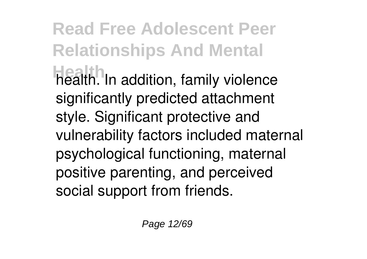# **Read Free Adolescent Peer Relationships And Mental Health**. In addition, family violence significantly predicted attachment style. Significant protective and vulnerability factors included maternal psychological functioning, maternal positive parenting, and perceived social support from friends.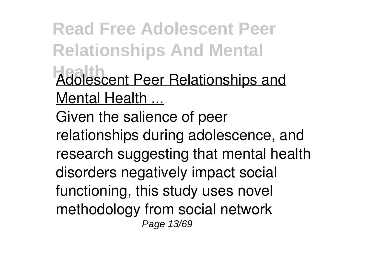**Read Free Adolescent Peer Relationships And Mental** Adolescent Peer Relationships and Mental Health ... Given the salience of peer relationships during adolescence, and research suggesting that mental health disorders negatively impact social functioning, this study uses novel methodology from social network Page 13/69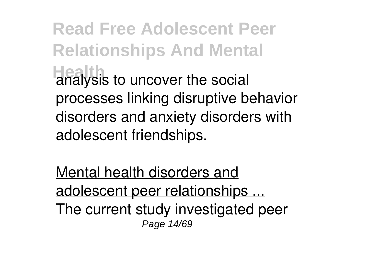**Read Free Adolescent Peer Relationships And Mental Health** analysis to uncover the social processes linking disruptive behavior disorders and anxiety disorders with adolescent friendships.

Mental health disorders and adolescent peer relationships ... The current study investigated peer Page 14/69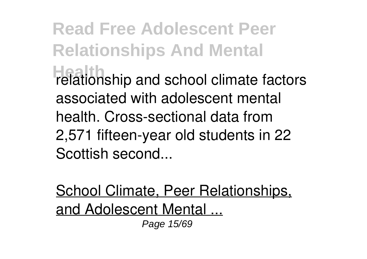**Read Free Adolescent Peer Relationships And Mental Helationship and school climate factors** associated with adolescent mental health. Cross-sectional data from 2,571 fifteen-year old students in 22 Scottish second...

School Climate, Peer Relationships, and Adolescent Mental ... Page 15/69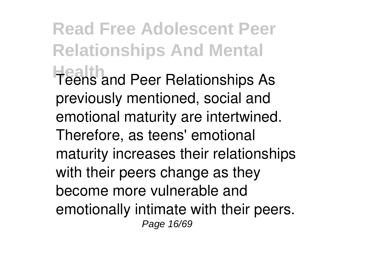**Read Free Adolescent Peer Relationships And Mental Health** and Peer Relationships As previously mentioned, social and emotional maturity are intertwined. Therefore, as teens' emotional maturity increases their relationships with their peers change as they become more vulnerable and emotionally intimate with their peers. Page 16/69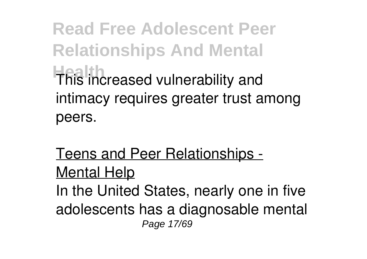**Read Free Adolescent Peer Relationships And Mental Health** reased vulnerability and intimacy requires greater trust among peers.

Teens and Peer Relationships - Mental Help In the United States, nearly one in five adolescents has a diagnosable mental Page 17/69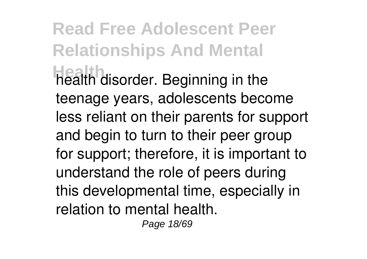# **Read Free Adolescent Peer Relationships And Mental Health** health disorder. Beginning in the teenage years, adolescents become less reliant on their parents for support and begin to turn to their peer group for support; therefore, it is important to understand the role of peers during this developmental time, especially in relation to mental health.

Page 18/69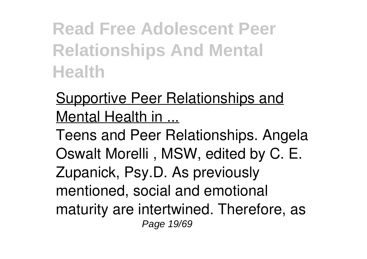**Read Free Adolescent Peer Relationships And Mental Health**

Supportive Peer Relationships and Mental Health in ...

Teens and Peer Relationships. Angela Oswalt Morelli , MSW, edited by C. E. Zupanick, Psy.D. As previously mentioned, social and emotional maturity are intertwined. Therefore, as Page 19/69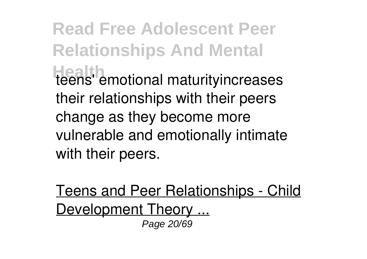**Read Free Adolescent Peer Relationships And Mental** Heens' emotional maturityincreases their relationships with their peers change as they become more vulnerable and emotionally intimate with their peers.

Teens and Peer Relationships - Child Development Theory ... Page 20/69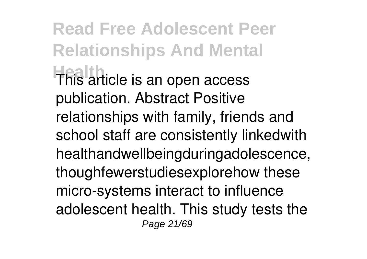**Read Free Adolescent Peer Relationships And Mental Health**<br>This article is an open access publication. Abstract Positive relationships with family, friends and school staff are consistently linkedwith healthandwellbeingduringadolescence, thoughfewerstudiesexplorehow these micro-systems interact to influence adolescent health. This study tests the Page 21/69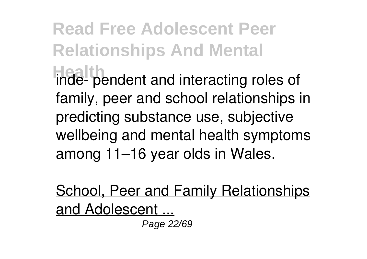# **Read Free Adolescent Peer Relationships And Mental Hinde-** pendent and interacting roles of family, peer and school relationships in predicting substance use, subjective wellbeing and mental health symptoms among 11–16 year olds in Wales.

School, Peer and Family Relationships and Adolescent ...

Page 22/69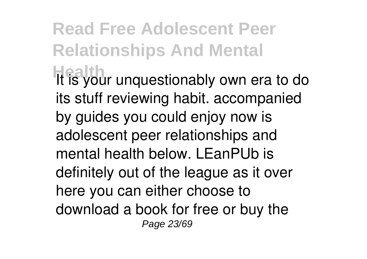### **Read Free Adolescent Peer Relationships And Mental Health** It is your unquestionably own era to do its stuff reviewing habit. accompanied by guides you could enjoy now is adolescent peer relationships and mental health below. LEanPUb is definitely out of the league as it over here you can either choose to download a book for free or buy the Page 23/69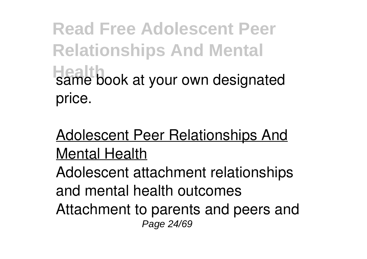**Read Free Adolescent Peer Relationships And Mental Hame book at your own designated** price.

#### Adolescent Peer Relationships And Mental Health

Adolescent attachment relationships and mental health outcomes Attachment to parents and peers and Page 24/69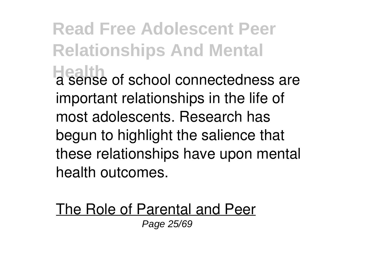**Read Free Adolescent Peer Relationships And Mental Health a sense of school connectedness are** important relationships in the life of most adolescents. Research has begun to highlight the salience that these relationships have upon mental health outcomes.

The Role of Parental and Peer Page 25/69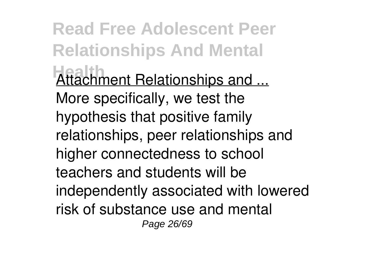**Read Free Adolescent Peer Relationships And Mental Attachment Relationships and ...** More specifically, we test the hypothesis that positive family relationships, peer relationships and higher connectedness to school teachers and students will be independently associated with lowered risk of substance use and mental Page 26/69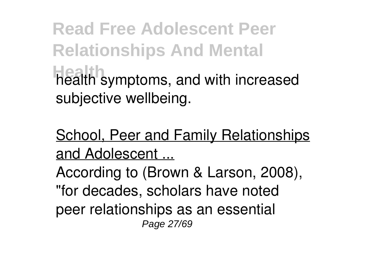**Read Free Adolescent Peer Relationships And Mental Health** symptoms, and with increased subjective wellbeing.

School, Peer and Family Relationships and Adolescent ...

According to (Brown & Larson, 2008), "for decades, scholars have noted peer relationships as an essential Page 27/69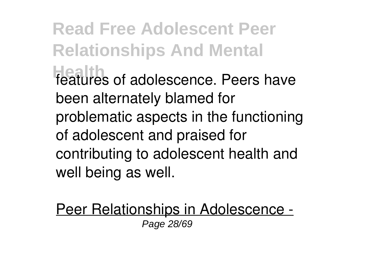**Read Free Adolescent Peer Relationships And Mental** features of adolescence. Peers have been alternately blamed for problematic aspects in the functioning of adolescent and praised for contributing to adolescent health and well being as well.

Peer Relationships in Adolescence - Page 28/69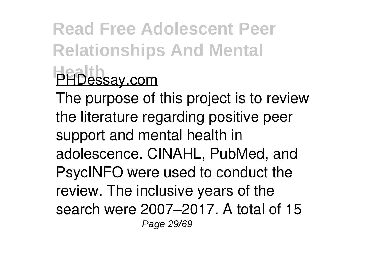# **Read Free Adolescent Peer Relationships And Mental PHDessay.com**

The purpose of this project is to review the literature regarding positive peer support and mental health in adolescence. CINAHL, PubMed, and PsycINFO were used to conduct the review. The inclusive years of the search were 2007–2017. A total of 15 Page 29/69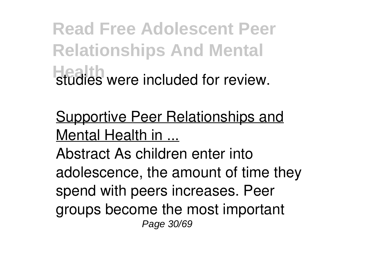**Read Free Adolescent Peer Relationships And Mental Health** were included for review.

Supportive Peer Relationships and Mental Health in ...

Abstract As children enter into adolescence, the amount of time they spend with peers increases. Peer groups become the most important Page 30/69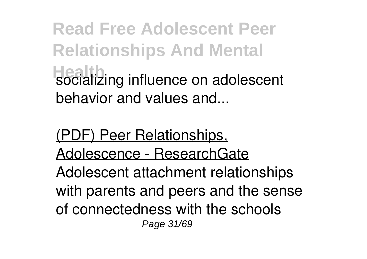**Read Free Adolescent Peer Relationships And Mental Health** socializing influence on adolescent behavior and values and...

(PDF) Peer Relationships, Adolescence - ResearchGate

Adolescent attachment relationships with parents and peers and the sense of connectedness with the schools Page 31/69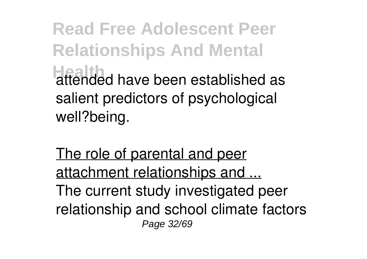**Read Free Adolescent Peer Relationships And Mental Health** attended have been established as salient predictors of psychological well?being.

The role of parental and peer attachment relationships and ... The current study investigated peer relationship and school climate factors Page 32/69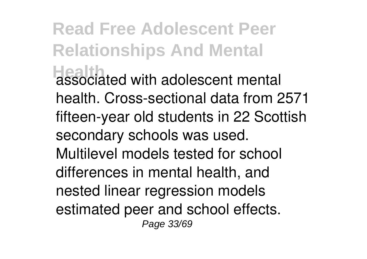**Read Free Adolescent Peer Relationships And Mental Headth** associated with adolescent mental health. Cross-sectional data from 2571 fifteen-year old students in 22 Scottish secondary schools was used. Multilevel models tested for school differences in mental health, and nested linear regression models estimated peer and school effects. Page 33/69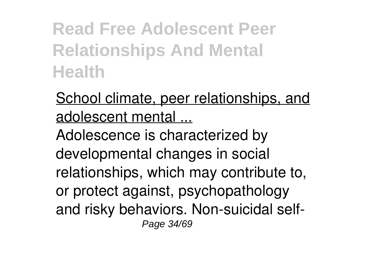**Read Free Adolescent Peer Relationships And Mental Health**

School climate, peer relationships, and adolescent mental ...

Adolescence is characterized by developmental changes in social relationships, which may contribute to, or protect against, psychopathology and risky behaviors. Non-suicidal self-Page 34/69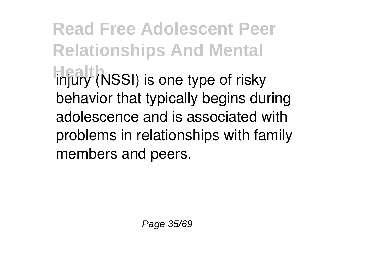**Read Free Adolescent Peer Relationships And Mental Highly** (NSSI) is one type of risky behavior that typically begins during adolescence and is associated with problems in relationships with family members and peers.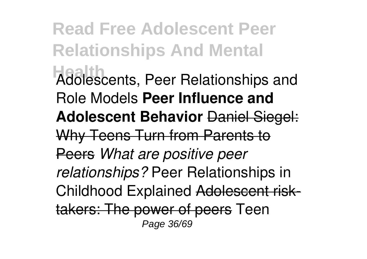**Read Free Adolescent Peer Relationships And Mental Health** Adolescents, Peer Relationships and Role Models **Peer Influence and Adolescent Behavior** Daniel Siegel: Why Teens Turn from Parents to Peers *What are positive peer relationships?* Peer Relationships in Childhood Explained Adolescent risktakers: The power of peers Teen Page 36/69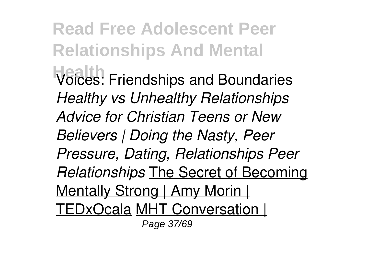**Read Free Adolescent Peer Relationships And Mental Health** Voices: Friendships and Boundaries *Healthy vs Unhealthy Relationships Advice for Christian Teens or New Believers | Doing the Nasty, Peer Pressure, Dating, Relationships Peer Relationships* The Secret of Becoming Mentally Strong | Amy Morin | TEDxOcala MHT Conversation | Page 37/69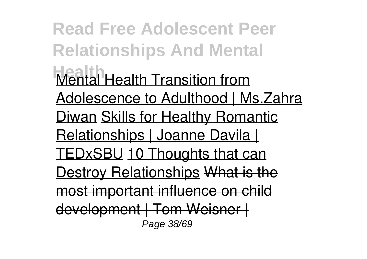**Read Free Adolescent Peer Relationships And Mental Mental Health Transition from** Adolescence to Adulthood | Ms. Zahra **Diwan Skills for Healthy Romantic** Relationships | Joanne Davila | TEDxSBU 10 Thoughts that can Destroy Relationships What is the most important influence on child development | Tom Weisner | Page 38/69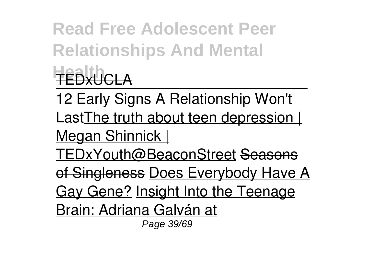**Read Free Adolescent Peer Relationships And Mental Health** TEDxUCLA

12 Early Signs A Relationship Won't Last The truth about teen depression | Megan Shinnick |

TEDxYouth@BeaconStreet Seasons

of Singleness Does Everybody Have A

Gay Gene? Insight Into the Teenage

Brain: Adriana Galván at

Page 39/69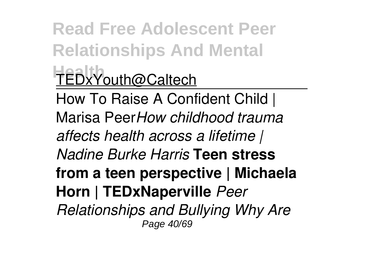**Read Free Adolescent Peer Relationships And Mental Health** TEDxYouth@Caltech How To Raise A Confident Child | Marisa Peer*How childhood trauma affects health across a lifetime | Nadine Burke Harris* **Teen stress from a teen perspective | Michaela**

**Horn | TEDxNaperville** *Peer*

*Relationships and Bullying Why Are* Page 40/69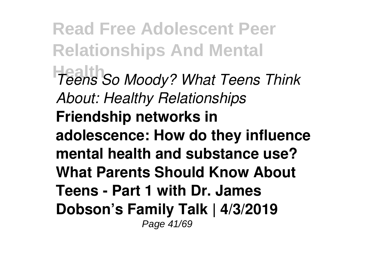**Read Free Adolescent Peer Relationships And Mental Health** *Teens So Moody? What Teens Think About: Healthy Relationships* **Friendship networks in adolescence: How do they influence mental health and substance use? What Parents Should Know About Teens - Part 1 with Dr. James Dobson's Family Talk | 4/3/2019** Page 41/69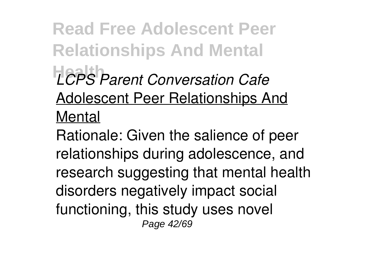**Read Free Adolescent Peer Relationships And Mental LCPS** Parent Conversation Cafe Adolescent Peer Relationships And Mental

Rationale: Given the salience of peer relationships during adolescence, and research suggesting that mental health disorders negatively impact social functioning, this study uses novel Page 42/69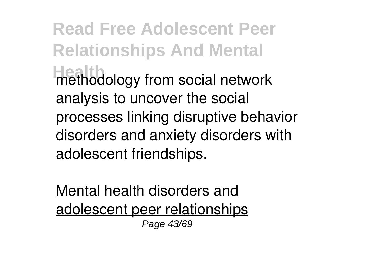**Read Free Adolescent Peer Relationships And Mental Health** methodology from social network analysis to uncover the social processes linking disruptive behavior disorders and anxiety disorders with adolescent friendships.

Mental health disorders and adolescent peer relationships Page 43/69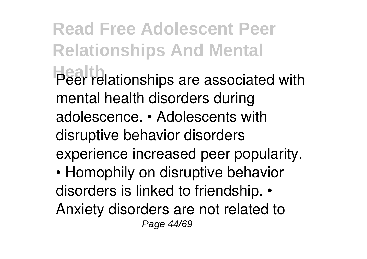**Read Free Adolescent Peer Relationships And Mental Health** Peer relationships are associated with mental health disorders during adolescence. • Adolescents with disruptive behavior disorders experience increased peer popularity. • Homophily on disruptive behavior disorders is linked to friendship. • Anxiety disorders are not related to Page 44/69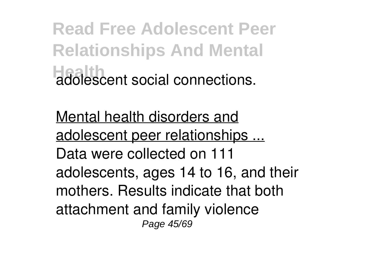**Read Free Adolescent Peer Relationships And Mental Hadolescent social connections.** 

Mental health disorders and adolescent peer relationships ... Data were collected on 111 adolescents, ages 14 to 16, and their mothers. Results indicate that both attachment and family violence Page 45/69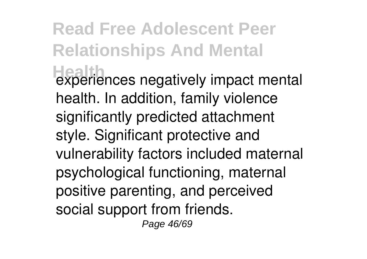### **Read Free Adolescent Peer Relationships And Mental Health** experiences negatively impact mental health. In addition, family violence significantly predicted attachment style. Significant protective and vulnerability factors included maternal psychological functioning, maternal positive parenting, and perceived social support from friends. Page 46/69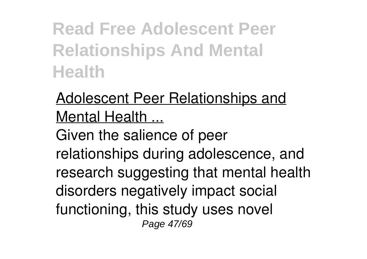**Read Free Adolescent Peer Relationships And Mental Health**

#### Adolescent Peer Relationships and Mental Health ...

Given the salience of peer relationships during adolescence, and research suggesting that mental health disorders negatively impact social functioning, this study uses novel Page 47/69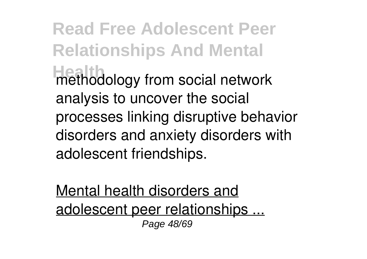**Read Free Adolescent Peer Relationships And Mental Health** methodology from social network analysis to uncover the social processes linking disruptive behavior disorders and anxiety disorders with adolescent friendships.

Mental health disorders and adolescent peer relationships ... Page 48/69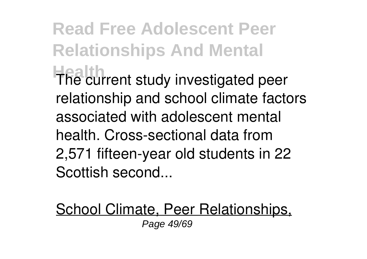**Read Free Adolescent Peer Relationships And Mental Health** The current study investigated peer relationship and school climate factors associated with adolescent mental health. Cross-sectional data from 2,571 fifteen-year old students in 22 Scottish second...

School Climate, Peer Relationships, Page 49/69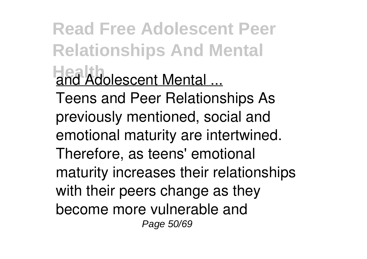**Read Free Adolescent Peer Relationships And Mental And Adolescent Mental ...** Teens and Peer Relationships As previously mentioned, social and emotional maturity are intertwined.

Therefore, as teens' emotional maturity increases their relationships with their peers change as they become more vulnerable and Page 50/69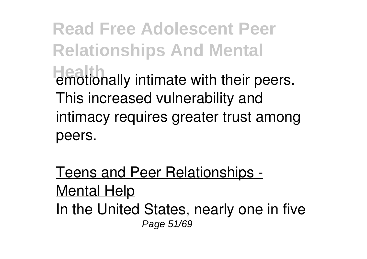**Read Free Adolescent Peer Relationships And Mental Health**<br> **Healthally** intimate with their peers. This increased vulnerability and intimacy requires greater trust among peers.

Teens and Peer Relationships - Mental Help In the United States, nearly one in five Page 51/69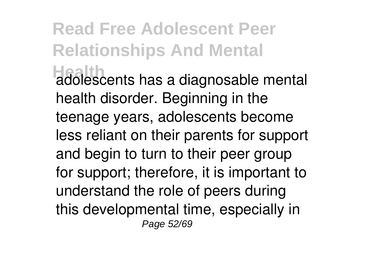### **Read Free Adolescent Peer Relationships And Mental Health** adolescents has a diagnosable mental health disorder. Beginning in the teenage years, adolescents become less reliant on their parents for support and begin to turn to their peer group for support; therefore, it is important to understand the role of peers during this developmental time, especially in Page 52/69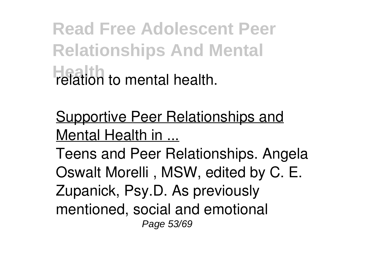**Read Free Adolescent Peer Relationships And Mental Health** relation to mental health.

Supportive Peer Relationships and Mental Health in ...

Teens and Peer Relationships. Angela Oswalt Morelli , MSW, edited by C. E. Zupanick, Psy.D. As previously mentioned, social and emotional Page 53/69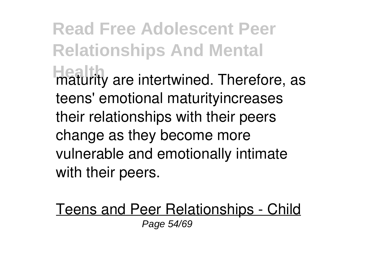**Read Free Adolescent Peer Relationships And Mental Heaturity** are intertwined. Therefore, as teens' emotional maturityincreases their relationships with their peers change as they become more vulnerable and emotionally intimate with their peers.

Teens and Peer Relationships - Child Page 54/69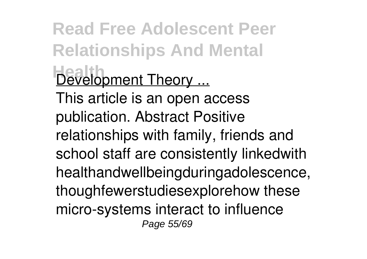**Read Free Adolescent Peer Relationships And Mental Health** Development Theory ... This article is an open access publication. Abstract Positive relationships with family, friends and school staff are consistently linkedwith healthandwellbeingduringadolescence, thoughfewerstudiesexplorehow these micro-systems interact to influence Page 55/69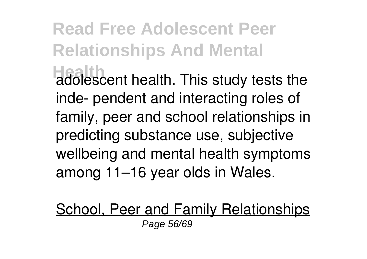# **Read Free Adolescent Peer Relationships And Mental Hadolescent health. This study tests the** inde- pendent and interacting roles of family, peer and school relationships in predicting substance use, subjective wellbeing and mental health symptoms among 11–16 year olds in Wales.

School, Peer and Family Relationships Page 56/69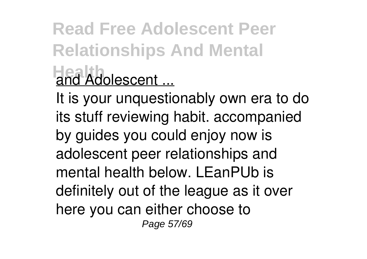# **Read Free Adolescent Peer Relationships And Mental Health** Adolescent ...

It is your unquestionably own era to do its stuff reviewing habit. accompanied by guides you could enjoy now is adolescent peer relationships and mental health below. LEanPUb is definitely out of the league as it over here you can either choose to Page 57/69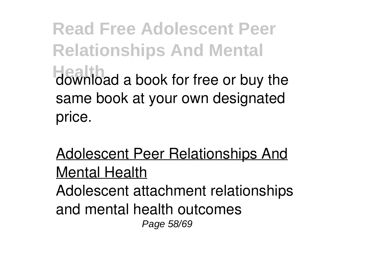**Read Free Adolescent Peer Relationships And Mental** download a book for free or buy the same book at your own designated price.

Adolescent Peer Relationships And Mental Health

Adolescent attachment relationships and mental health outcomes Page 58/69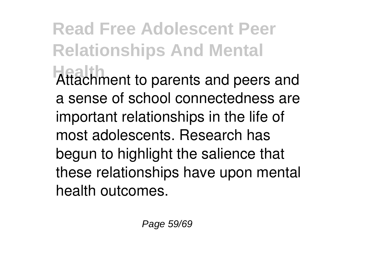# **Read Free Adolescent Peer Relationships And Mental Attachment to parents and peers and** a sense of school connectedness are important relationships in the life of most adolescents. Research has begun to highlight the salience that these relationships have upon mental

health outcomes.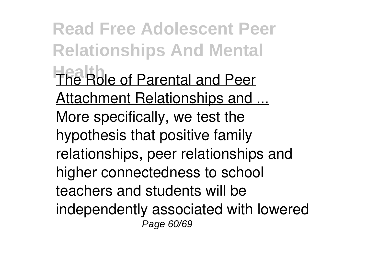**Read Free Adolescent Peer Relationships And Mental Health Role of Parental and Peer** Attachment Relationships and ... More specifically, we test the hypothesis that positive family relationships, peer relationships and higher connectedness to school teachers and students will be independently associated with lowered Page 60/69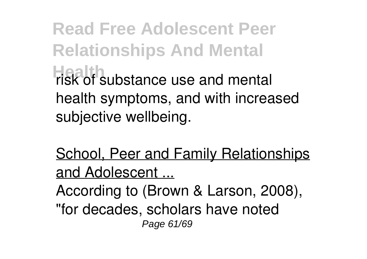**Read Free Adolescent Peer Relationships And Mental Health** substance use and mental health symptoms, and with increased subjective wellbeing.

School, Peer and Family Relationships and Adolescent ...

According to (Brown & Larson, 2008), "for decades, scholars have noted Page 61/69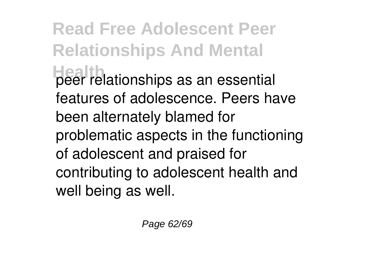**Read Free Adolescent Peer Relationships And Mental Health** peer relationships as an essential features of adolescence. Peers have been alternately blamed for problematic aspects in the functioning of adolescent and praised for contributing to adolescent health and well being as well.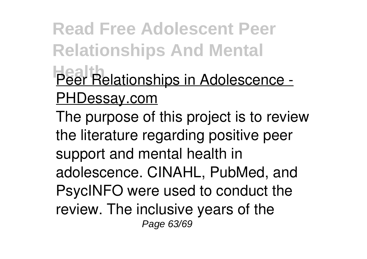**Read Free Adolescent Peer Relationships And Mental Peer Relationships in Adolescence -**PHDessay.com The purpose of this project is to review the literature regarding positive peer

support and mental health in adolescence. CINAHL, PubMed, and PsycINFO were used to conduct the review. The inclusive years of the Page 63/69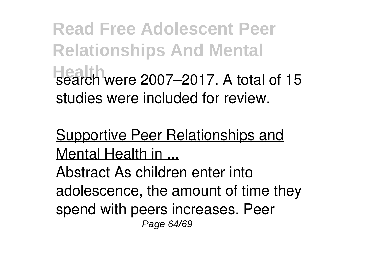**Read Free Adolescent Peer Relationships And Mental Health** search were 2007–2017. A total of 15 studies were included for review.

Supportive Peer Relationships and Mental Health in ...

Abstract As children enter into adolescence, the amount of time they spend with peers increases. Peer Page 64/69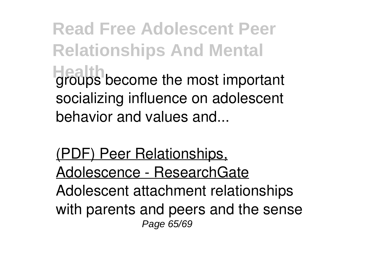**Read Free Adolescent Peer Relationships And Mental Health** groups become the most important socializing influence on adolescent behavior and values and...

(PDF) Peer Relationships, Adolescence - ResearchGate Adolescent attachment relationships with parents and peers and the sense Page 65/69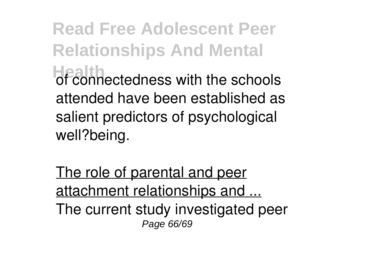**Read Free Adolescent Peer Relationships And Mental** of connectedness with the schools attended have been established as salient predictors of psychological well?being.

The role of parental and peer attachment relationships and ... The current study investigated peer Page 66/69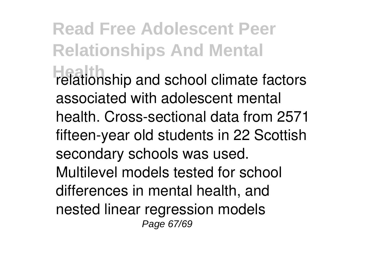**Read Free Adolescent Peer Relationships And Mental** relationship and school climate factors associated with adolescent mental health. Cross-sectional data from 2571 fifteen-year old students in 22 Scottish secondary schools was used. Multilevel models tested for school differences in mental health, and nested linear regression models Page 67/69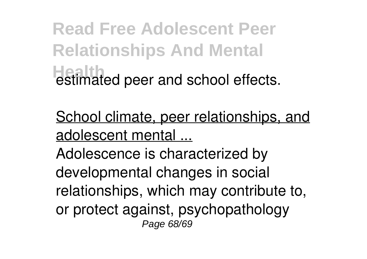**Read Free Adolescent Peer Relationships And Mental Health** estimated peer and school effects.

School climate, peer relationships, and adolescent mental ...

Adolescence is characterized by developmental changes in social relationships, which may contribute to, or protect against, psychopathology Page 68/69